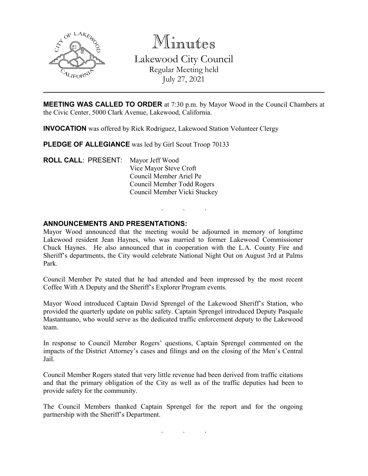

Minutes Lakewood City Council Regular Meeting held July 27, 2021

**MEETING WAS CALLED TO ORDER** at 7:30 p.m. by Mayor Wood in the Council Chambers at the Civic Center, 5000 Clark Avenue, Lakewood, California.

**INVOCATION** was offered by Rick Rodriguez, Lakewood Station Volunteer Clergy

PLEDGE OF ALLEGIANCE was led by Girl Scout Troop 70133

**ROLL CALL**: PRESENT: Mayor Jeff Wood Vice Mayor Steve Croft Council Member Ariel Pe Council Member Todd Rogers Council Member Vicki Stuckey

## **ANNOUNCEMENTS AND PRESENTATIONS:**

Mayor Wood announced that the meeting would be adjourned in memory of longtime Lakewood resident Jean Haynes, who was married to former Lakewood Commissioner Chuck Haynes. He also announced that in cooperation with the L.A. County Fire and Sheriff's departments, the City would celebrate National Night Out on August 3rd at Palms Park.

. . .

Council Member Pe stated that he had attended and been impressed by the most recent Coffee With A Deputy and the Sheriff's Explorer Program events.

Mayor Wood introduced Captain David Sprengel of the Lakewood Sheriff's Station, who provided the quarterly update on public safety. Captain Sprengel introduced Deputy Pasquale Mastantuano, who would serve as the dedicated traffic enforcement deputy to the Lakewood team.

In response to Council Member Rogers' questions, Captain Sprengel commented on the impacts of the District Attorney's cases and filings and on the closing of the Men's Central Jail.

Council Member Rogers stated that very little revenue had been derived from traffic citations and that the primary obligation of the City as well as of the traffic deputies had been to provide safety for the community.

The Council Members thanked Captain Sprengel for the report and for the ongoing partnership with the Sheriff's Department.

. . .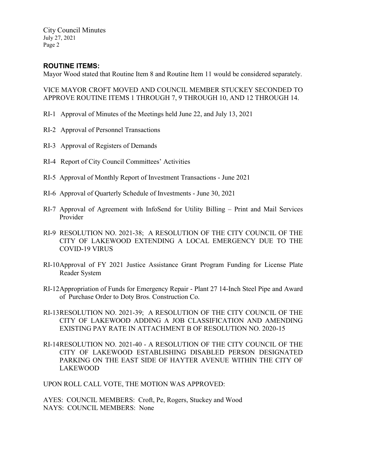City Council Minutes July 27, 2021 Page 2

# **ROUTINE ITEMS:**

Mayor Wood stated that Routine Item 8 and Routine Item 11 would be considered separately.

VICE MAYOR CROFT MOVED AND COUNCIL MEMBER STUCKEY SECONDED TO APPROVE ROUTINE ITEMS 1 THROUGH 7, 9 THROUGH 10, AND 12 THROUGH 14.

- RI-1 Approval of Minutes of the Meetings held June 22, and July 13, 2021
- RI-2 Approval of Personnel Transactions
- RI-3 Approval of Registers of Demands
- RI-4 Report of City Council Committees' Activities
- RI-5 Approval of Monthly Report of Investment Transactions June 2021
- RI-6 Approval of Quarterly Schedule of Investments June 30, 2021
- RI-7 Approval of Agreement with InfoSend for Utility Billing Print and Mail Services Provider
- RI-9 RESOLUTION NO. 2021-38; A RESOLUTION OF THE CITY COUNCIL OF THE CITY OF LAKEWOOD EXTENDING A LOCAL EMERGENCY DUE TO THE COVID-19 VIRUS
- RI-10Approval of FY 2021 Justice Assistance Grant Program Funding for License Plate Reader System
- RI-12Appropriation of Funds for Emergency Repair Plant 27 14-Inch Steel Pipe and Award of Purchase Order to Doty Bros. Construction Co.
- RI-13RESOLUTION NO. 2021-39; A RESOLUTION OF THE CITY COUNCIL OF THE CITY OF LAKEWOOD ADDING A JOB CLASSIFICATION AND AMENDING EXISTING PAY RATE IN ATTACHMENT B OF RESOLUTION NO. 2020-15
- RI-14RESOLUTION NO. 2021-40 A RESOLUTION OF THE CITY COUNCIL OF THE CITY OF LAKEWOOD ESTABLISHING DISABLED PERSON DESIGNATED PARKING ON THE EAST SIDE OF HAYTER AVENUE WITHIN THE CITY OF LAKEWOOD

UPON ROLL CALL VOTE, THE MOTION WAS APPROVED:

AYES: COUNCIL MEMBERS: Croft, Pe, Rogers, Stuckey and Wood NAYS: COUNCIL MEMBERS: None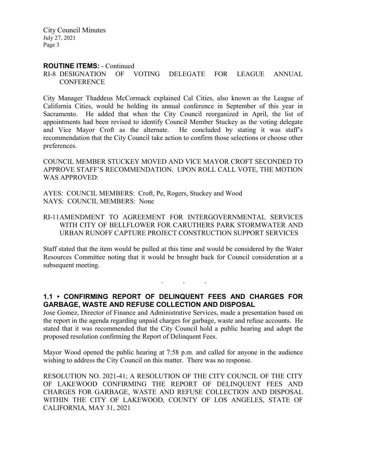City Council Minutes July 27, 2021 Page 3

#### **ROUTINE ITEMS:** - Continued

#### RI-8 DESIGNATION OF VOTING DELEGATE FOR LEAGUE ANNUAL **CONFERENCE**

City Manager Thaddeus McCormack explained Cal Cities, also known as the League of California Cities, would be holding its annual conference in September of this year in Sacramento. He added that when the City Council reorganized in April, the list of appointments had been revised to identify Council Member Stuckey as the voting delegate and Vice Mayor Croft as the alternate. He concluded by stating it was staff's recommendation that the City Council take action to confirm those selections or choose other preferences.

COUNCIL MEMBER STUCKEY MOVED AND VICE MAYOR CROFT SECONDED TO APPROVE STAFF'S RECOMMENDATION. UPON ROLL CALL VOTE, THE MOTION WAS APPROVED:

AYES: COUNCIL MEMBERS: Croft, Pe, Rogers, Stuckey and Wood NAYS: COUNCIL MEMBERS: None

RI-11AMENDMENT TO AGREEMENT FOR INTERGOVERNMENTAL SERVICES WITH CITY OF BELLFLOWER FOR CARUTHERS PARK STORMWATER AND URBAN RUNOFF CAPTURE PROJECT CONSTRUCTION SUPPORT SERVICES

Staff stated that the item would be pulled at this time and would be considered by the Water Resources Committee noting that it would be brought back for Council consideration at a subsequent meeting.

#### **1.1 • CONFIRMING REPORT OF DELINQUENT FEES AND CHARGES FOR GARBAGE, WASTE AND REFUSE COLLECTION AND DISPOSAL**

. . .

Jose Gomez, Director of Finance and Administrative Services, made a presentation based on the report in the agenda regarding unpaid charges for garbage, waste and refuse accounts. He stated that it was recommended that the City Council hold a public hearing and adopt the proposed resolution confirming the Report of Delinquent Fees.

Mayor Wood opened the public hearing at 7:58 p.m. and called for anyone in the audience wishing to address the City Council on this matter. There was no response.

RESOLUTION NO. 2021-41; A RESOLUTION OF THE CITY COUNCIL OF THE CITY OF LAKEWOOD CONFIRMING THE REPORT OF DELINQUENT FEES AND CHARGES FOR GARBAGE, WASTE AND REFUSE COLLECTION AND DISPOSAL WITHIN THE CITY OF LAKEWOOD, COUNTY OF LOS ANGELES, STATE OF CALIFORNIA, MAY 31, 2021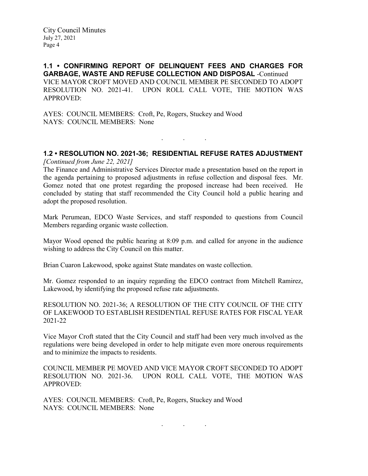**1.1 • CONFIRMING REPORT OF DELINQUENT FEES AND CHARGES FOR GARBAGE, WASTE AND REFUSE COLLECTION AND DISPOSAL** -Continued VICE MAYOR CROFT MOVED AND COUNCIL MEMBER PE SECONDED TO ADOPT RESOLUTION NO. 2021-41. UPON ROLL CALL VOTE, THE MOTION WAS APPROVED:

AYES: COUNCIL MEMBERS: Croft, Pe, Rogers, Stuckey and Wood NAYS: COUNCIL MEMBERS: None

# **1.2 • RESOLUTION NO. 2021-36; RESIDENTIAL REFUSE RATES ADJUSTMENT**

. . .

*[Continued from June 22, 2021]*

The Finance and Administrative Services Director made a presentation based on the report in the agenda pertaining to proposed adjustments in refuse collection and disposal fees. Mr. Gomez noted that one protest regarding the proposed increase had been received. He concluded by stating that staff recommended the City Council hold a public hearing and adopt the proposed resolution.

Mark Perumean, EDCO Waste Services, and staff responded to questions from Council Members regarding organic waste collection.

Mayor Wood opened the public hearing at 8:09 p.m. and called for anyone in the audience wishing to address the City Council on this matter.

Brian Cuaron Lakewood, spoke against State mandates on waste collection.

Mr. Gomez responded to an inquiry regarding the EDCO contract from Mitchell Ramirez, Lakewood, by identifying the proposed refuse rate adjustments.

RESOLUTION NO. 2021-36; A RESOLUTION OF THE CITY COUNCIL OF THE CITY OF LAKEWOOD TO ESTABLISH RESIDENTIAL REFUSE RATES FOR FISCAL YEAR 2021-22

Vice Mayor Croft stated that the City Council and staff had been very much involved as the regulations were being developed in order to help mitigate even more onerous requirements and to minimize the impacts to residents.

COUNCIL MEMBER PE MOVED AND VICE MAYOR CROFT SECONDED TO ADOPT RESOLUTION NO. 2021-36. UPON ROLL CALL VOTE, THE MOTION WAS APPROVED:

AYES: COUNCIL MEMBERS: Croft, Pe, Rogers, Stuckey and Wood NAYS: COUNCIL MEMBERS: None

. . .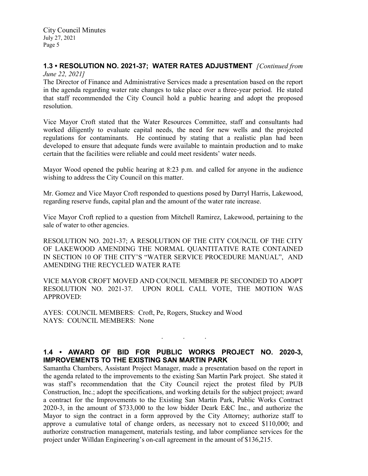#### **1.3 • RESOLUTION NO. 2021-37; WATER RATES ADJUSTMENT** *[Continued from June 22, 2021]*

The Director of Finance and Administrative Services made a presentation based on the report in the agenda regarding water rate changes to take place over a three-year period. He stated that staff recommended the City Council hold a public hearing and adopt the proposed resolution.

Vice Mayor Croft stated that the Water Resources Committee, staff and consultants had worked diligently to evaluate capital needs, the need for new wells and the projected regulations for contaminants. He continued by stating that a realistic plan had been developed to ensure that adequate funds were available to maintain production and to make certain that the facilities were reliable and could meet residents' water needs.

Mayor Wood opened the public hearing at 8:23 p.m. and called for anyone in the audience wishing to address the City Council on this matter.

Mr. Gomez and Vice Mayor Croft responded to questions posed by Darryl Harris, Lakewood, regarding reserve funds, capital plan and the amount of the water rate increase.

Vice Mayor Croft replied to a question from Mitchell Ramirez, Lakewood, pertaining to the sale of water to other agencies.

RESOLUTION NO. 2021-37; A RESOLUTION OF THE CITY COUNCIL OF THE CITY OF LAKEWOOD AMENDING THE NORMAL QUANTITATIVE RATE CONTAINED IN SECTION 10 OF THE CITY'S "WATER SERVICE PROCEDURE MANUAL", AND AMENDING THE RECYCLED WATER RATE

VICE MAYOR CROFT MOVED AND COUNCIL MEMBER PE SECONDED TO ADOPT RESOLUTION NO. 2021-37. UPON ROLL CALL VOTE, THE MOTION WAS APPROVED:

AYES: COUNCIL MEMBERS: Croft, Pe, Rogers, Stuckey and Wood NAYS: COUNCIL MEMBERS: None

# **1.4 • AWARD OF BID FOR PUBLIC WORKS PROJECT NO. 2020-3, IMPROVEMENTS TO THE EXISTING SAN MARTIN PARK**

. . .

Samantha Chambers, Assistant Project Manager, made a presentation based on the report in the agenda related to the improvements to the existing San Martin Park project. She stated it was staff's recommendation that the City Council reject the protest filed by PUB Construction, Inc.; adopt the specifications, and working details for the subject project; award a contract for the Improvements to the Existing San Martin Park, Public Works Contract 2020-3, in the amount of \$733,000 to the low bidder Deark E&C Inc., and authorize the Mayor to sign the contract in a form approved by the City Attorney; authorize staff to approve a cumulative total of change orders, as necessary not to exceed \$110,000; and authorize construction management, materials testing, and labor compliance services for the project under Willdan Engineering's on-call agreement in the amount of \$136,215.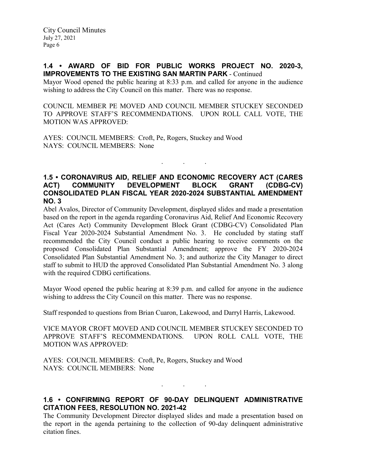## **1.4 • AWARD OF BID FOR PUBLIC WORKS PROJECT NO. 2020-3, IMPROVEMENTS TO THE EXISTING SAN MARTIN PARK** - Continued

Mayor Wood opened the public hearing at 8:33 p.m. and called for anyone in the audience wishing to address the City Council on this matter. There was no response.

COUNCIL MEMBER PE MOVED AND COUNCIL MEMBER STUCKEY SECONDED TO APPROVE STAFF'S RECOMMENDATIONS. UPON ROLL CALL VOTE, THE MOTION WAS APPROVED:

AYES: COUNCIL MEMBERS: Croft, Pe, Rogers, Stuckey and Wood NAYS: COUNCIL MEMBERS: None

## **1.5 • CORONAVIRUS AID, RELIEF AND ECONOMIC RECOVERY ACT (CARES ACT) COMMUNITY DEVELOPMENT BLOCK GRANT (CDBG-CV) CONSOLIDATED PLAN FISCAL YEAR 2020-2024 SUBSTANTIAL AMENDMENT NO. 3**

. . .

Abel Avalos, Director of Community Development, displayed slides and made a presentation based on the report in the agenda regarding Coronavirus Aid, Relief And Economic Recovery Act (Cares Act) Community Development Block Grant (CDBG-CV) Consolidated Plan Fiscal Year 2020-2024 Substantial Amendment No. 3. He concluded by stating staff recommended the City Council conduct a public hearing to receive comments on the proposed Consolidated Plan Substantial Amendment; approve the FY 2020-2024 Consolidated Plan Substantial Amendment No. 3; and authorize the City Manager to direct staff to submit to HUD the approved Consolidated Plan Substantial Amendment No. 3 along with the required CDBG certifications.

Mayor Wood opened the public hearing at 8:39 p.m. and called for anyone in the audience wishing to address the City Council on this matter. There was no response.

Staff responded to questions from Brian Cuaron, Lakewood, and Darryl Harris, Lakewood.

VICE MAYOR CROFT MOVED AND COUNCIL MEMBER STUCKEY SECONDED TO APPROVE STAFF'S RECOMMENDATIONS. UPON ROLL CALL VOTE, THE MOTION WAS APPROVED:

AYES: COUNCIL MEMBERS: Croft, Pe, Rogers, Stuckey and Wood NAYS: COUNCIL MEMBERS: None

**1.6 • CONFIRMING REPORT OF 90-DAY DELINQUENT ADMINISTRATIVE CITATION FEES, RESOLUTION NO. 2021-42**

. . .

The Community Development Director displayed slides and made a presentation based on the report in the agenda pertaining to the collection of 90-day delinquent administrative citation fines.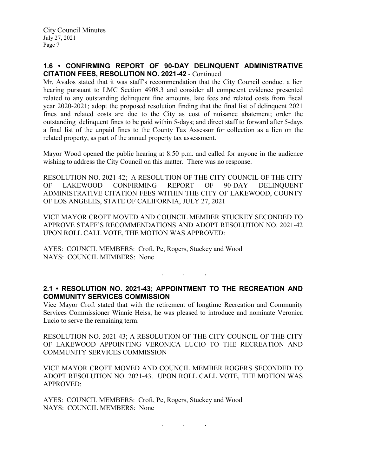## **1.6 • CONFIRMING REPORT OF 90-DAY DELINQUENT ADMINISTRATIVE CITATION FEES, RESOLUTION NO. 2021-42** - Continued

Mr. Avalos stated that it was staff's recommendation that the City Council conduct a lien hearing pursuant to LMC Section 4908.3 and consider all competent evidence presented related to any outstanding delinquent fine amounts, late fees and related costs from fiscal year 2020-2021; adopt the proposed resolution finding that the final list of delinquent 2021 fines and related costs are due to the City as cost of nuisance abatement; order the outstanding delinquent fines to be paid within 5-days; and direct staff to forward after 5-days a final list of the unpaid fines to the County Tax Assessor for collection as a lien on the related property, as part of the annual property tax assessment.

Mayor Wood opened the public hearing at 8:50 p.m. and called for anyone in the audience wishing to address the City Council on this matter. There was no response.

RESOLUTION NO. 2021-42; A RESOLUTION OF THE CITY COUNCIL OF THE CITY OF LAKEWOOD CONFIRMING REPORT OF 90-DAY DELINQUENT ADMINISTRATIVE CITATION FEES WITHIN THE CITY OF LAKEWOOD, COUNTY OF LOS ANGELES, STATE OF CALIFORNIA, JULY 27, 2021

VICE MAYOR CROFT MOVED AND COUNCIL MEMBER STUCKEY SECONDED TO APPROVE STAFF'S RECOMMENDATIONS AND ADOPT RESOLUTION NO. 2021-42 UPON ROLL CALL VOTE, THE MOTION WAS APPROVED:

AYES: COUNCIL MEMBERS: Croft, Pe, Rogers, Stuckey and Wood NAYS: COUNCIL MEMBERS: None

## **2.1 • RESOLUTION NO. 2021-43; APPOINTMENT TO THE RECREATION AND COMMUNITY SERVICES COMMISSION**

. . .

Vice Mayor Croft stated that with the retirement of longtime Recreation and Community Services Commissioner Winnie Heiss, he was pleased to introduce and nominate Veronica Lucio to serve the remaining term.

RESOLUTION NO. 2021-43; A RESOLUTION OF THE CITY COUNCIL OF THE CITY OF LAKEWOOD APPOINTING VERONICA LUCIO TO THE RECREATION AND COMMUNITY SERVICES COMMISSION

VICE MAYOR CROFT MOVED AND COUNCIL MEMBER ROGERS SECONDED TO ADOPT RESOLUTION NO. 2021-43. UPON ROLL CALL VOTE, THE MOTION WAS APPROVED:

AYES: COUNCIL MEMBERS: Croft, Pe, Rogers, Stuckey and Wood NAYS: COUNCIL MEMBERS: None

. . .